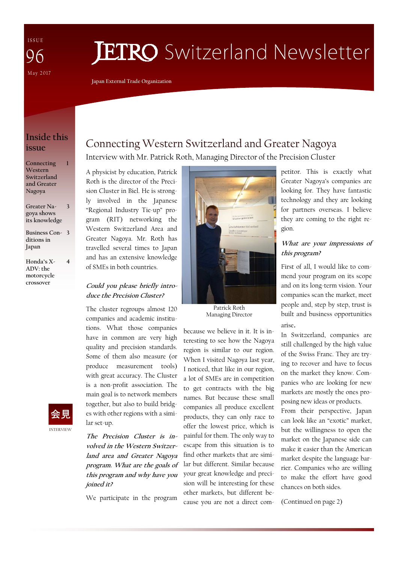I S S U E May 2017 96

# **JETRO** Switzerland Newsletter

**Japan External Trade Organization** 

### **Inside this issue**

**1** 

**4** 

**Connecting Western Switzerland and Greater Nagoya** 

**Greater Nagoya shows its knowledge 3** 

**Business Con-3 ditions in Japan** 

**Honda's X-ADV: the motorcycle crossover** 



# Connecting Western Switzerland and Greater Nagoya

Interview with Mr. Patrick Roth, Managing Director of the Precision Cluster

A physicist by education, Patrick Roth is the director of the Precision Cluster in Biel. He is strongly involved in the Japanese "Regional Industry Tie-up" program (RIT) networking the Western Switzerland Area and Greater Nagoya. Mr. Roth has travelled several times to Japan and has an extensive knowledge of SMEs in both countries.

#### **Could you please briefly introduce the Precision Cluster?**

The cluster regroups almost 120 companies and academic institutions. What those companies have in common are very high quality and precision standards. Some of them also measure (or produce measurement tools) with great accuracy. The Cluster is a non-profit association. The main goal is to network members together, but also to build bridges with other regions with a similar set-up.

**The Precision Cluster is involved in the Western Switzerland area and Greater Nagoya program. What are the goals of this program and why have you joined it?** 

We participate in the program



Patrick Roth Managing Director

because we believe in it. It is interesting to see how the Nagoya region is similar to our region. When I visited Nagoya last year, I noticed, that like in our region, a lot of SMEs are in competition to get contracts with the big names. But because these small companies all produce excellent products, they can only race to offer the lowest price, which is painful for them. The only way to escape from this situation is to find other markets that are similar but different. Similar because your great knowledge and precision will be interesting for these other markets, but different because you are not a direct competitor. This is exactly what Greater Nagoya's companies are looking for. They have fantastic technology and they are looking for partners overseas. I believe they are coming to the right region.

#### **What are your impressions of this program?**

First of all, I would like to commend your program on its scope and on its long-term vision. Your companies scan the market, meet people and, step by step, trust is built and business opportunities arise.

In Switzerland, companies are still challenged by the high value of the Swiss Franc. They are trying to recover and have to focus on the market they know. Companies who are looking for new markets are mostly the ones proposing new ideas or products.

From their perspective, Japan can look like an "exotic" market, but the willingness to open the market on the Japanese side can make it easier than the American market despite the language barrier. Companies who are willing to make the effort have good chances on both sides.

(Continued on page 2)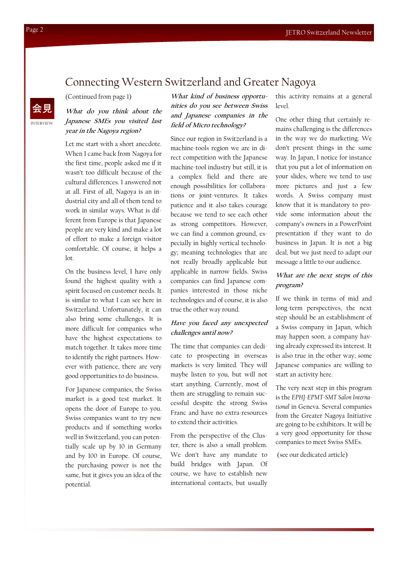### Connecting Western Switzerland and Greater Nagoya

(Continued from page 1)

#### **What do you think about the Japanese SMEs you visited last year in the Nagoya region?**

Let me start with a short anecdote. When I came back from Nagoya for the first time, people asked me if it wasn't too difficult because of the cultural differences. I answered not at all. First of all, Nagoya is an industrial city and all of them tend to work in similar ways. What is different from Europe is that Japanese people are very kind and make a lot of effort to make a foreign visitor comfortable. Of course, it helps a lot.

On the business level, I have only found the highest quality with a spirit focused on customer needs. It is similar to what I can see here in Switzerland. Unfortunately, it can also bring some challenges. It is more difficult for companies who have the highest expectations to match together. It takes more time to identify the right partners. However with patience, there are very good opportunities to do business.

For Japanese companies, the Swiss market is a good test market. It opens the door of Europe to you. Swiss companies want to try new products and if something works well in Switzerland, you can potentially scale up by 10 in Germany and by 100 in Europe. Of course, the purchasing power is not the same, but it gives you an idea of the potential.

**What kind of business opportunities do you see between Swiss and Japanese companies in the field of Micro technology?** 

Since our region in Switzerland is a machine-tools region we are in direct competition with the Japanese machine-tool industry but still, it is a complex field and there are enough possibilities for collaborations or joint-ventures. It takes patience and it also takes courage because we tend to see each other as strong competitors. However, we can find a common ground, especially in highly vertical technology; meaning technologies that are not really broadly applicable but applicable in narrow fields. Swiss companies can find Japanese companies interested in those niche technologies and of course, it is also true the other way round.

#### **Have you faced any unexpected challenges until now?**

The time that companies can dedicate to prospecting in overseas markets is very limited. They will maybe listen to you, but will not start anything. Currently, most of them are struggling to remain successful despite the strong Swiss Franc and have no extra-resources to extend their activities.

From the perspective of the Cluster, there is also a small problem. We don't have any mandate to build bridges with Japan. Of course, we have to establish new international contacts, but usually

this activity remains at a general level.

One other thing that certainly remains challenging is the differences in the way we do marketing. We don't present things in the same way. In Japan, I notice for instance that you put a lot of information on your slides, where we tend to use more pictures and just a few words. A Swiss company must know that it is mandatory to provide some information about the company's owners in a PowerPoint presentation if they want to do business in Japan. It is not a big deal, but we just need to adapt our message a little to our audience.

#### **What are the next steps of this program?**

If we think in terms of mid and long-term perspectives, the next step should be an establishment of a Swiss company in Japan, which may happen soon, a company having already expressed its interest. It is also true in the other way; some Japanese companies are willing to start an activity here.

The very next step in this program is the *EPHJ-EPMT-SMT Salon International* in Geneva. Several companies from the Greater Nagoya Initiative are going to be exhibitors. It will be a very good opportunity for those companies to meet Swiss SMEs.

(see our dedicated article)

INTERVIEW

会見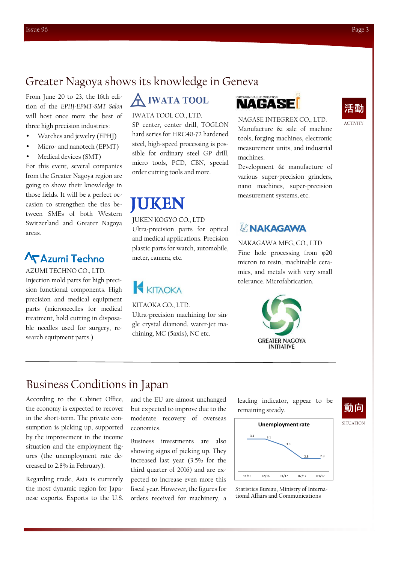### Greater Nagoya shows its knowledge in Geneva

From June 20 to 23, the 16th edition of the *EPHJ-EPMT-SMT Salon*  will host once more the best of three high precision industries:

- Watches and jewelry (EPHJ)
- Micro- and nanotech (EPMT)
- Medical devices (SMT)

For this event, several companies from the Greater Nagoya region are going to show their knowledge in those fields. It will be a perfect occasion to strengthen the ties between SMEs of both Western Switzerland and Greater Nagoya areas.

# **Azumi Techno**

AZUMI TECHNO CO., LTD. Injection mold parts for high precision functional components. High precision and medical equipment parts (microneedles for medical treatment, hold cutting in disposable needles used for surgery, research equipment parts.)

# **IWATA TOOL**

#### IWATA TOOL CO., LTD.

SP center, center drill, TOGLON hard series for HRC40-72 hardened steel, high-speed processing is possible for ordinary steel GP drill, micro tools, PCD, CBN, special order cutting tools and more.

# IUKEN

#### JUKEN KOGYO CO., LTD

Ultra-precision parts for optical and medical applications. Precision plastic parts for watch, automobile, meter, camera, etc.

# **KITAOKA**

KITAOKA CO., LTD.

Ultra-precision machining for single crystal diamond, water-jet machining, MC (5axis), NC etc.

# **NAGASE**

NAGASE INTEGREX CO., LTD. Manufacture & sale of machine tools, forging machines, electronic measurement units, and industrial machines.

Development & manufacture of various super-precision grinders, nano machines, super-precision measurement systems, etc.

### A NAKAGAWA

#### NAKAGAWA MFG, CO., LTD

Fine hole processing from φ20 micron to resin, machinable ceramics, and metals with very small tolerance. Microfabrication.



### Business Conditions in Japan

According to the Cabinet Office, the economy is expected to recover in the short-term. The private consumption is picking up, supported by the improvement in the income situation and the employment figures (the unemployment rate decreased to 2.8% in February).

Regarding trade, Asia is currently the most dynamic region for Japanese exports. Exports to the U.S. and the EU are almost unchanged but expected to improve due to the moderate recovery of overseas economies.

Business investments are also showing signs of picking up. They increased last year (3.5% for the third quarter of 2016) and are expected to increase even more this fiscal year. However, the figures for orders received for machinery, a

leading indicator, appear to be remaining steady.



Statistics Bureau, Ministry of International Affairs and Communications